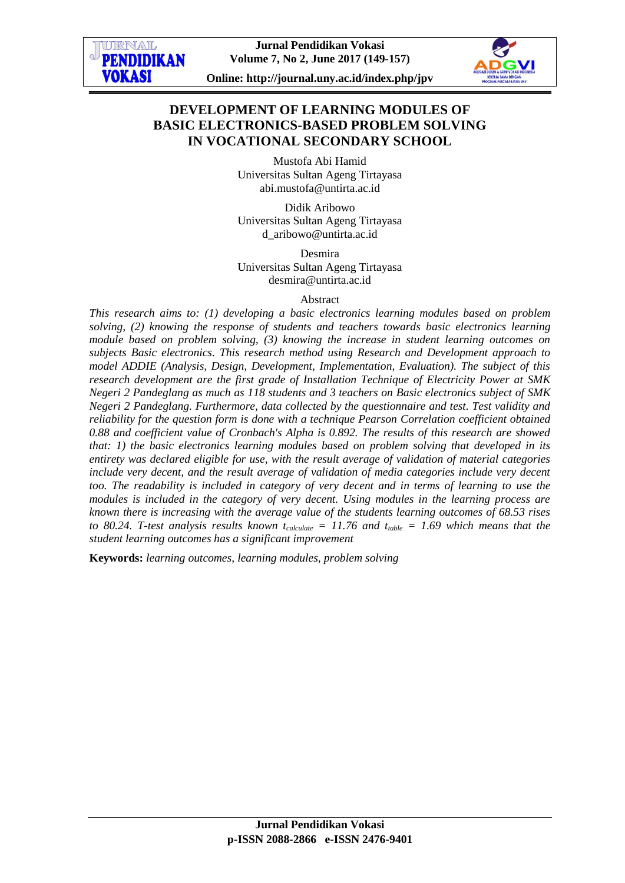

**Online: http://journal.uny.ac.id/index.php/jpv**

# **DEVELOPMENT OF LEARNING MODULES OF BASIC ELECTRONICS-BASED PROBLEM SOLVING IN VOCATIONAL SECONDARY SCHOOL**

Mustofa Abi Hamid Universitas Sultan Ageng Tirtayasa abi.mustofa@untirta.ac.id

Didik Aribowo Universitas Sultan Ageng Tirtayasa [d\\_aribowo@untirta.ac.id](mailto:husainiusman@gmail.com)

Desmira Universitas Sultan Ageng Tirtayasa desmira@untirta.ac.id

#### Abstract

*This research aims to: (1) developing a basic electronics learning modules based on problem solving, (2) knowing the response of students and teachers towards basic electronics learning module based on problem solving, (3) knowing the increase in student learning outcomes on subjects Basic electronics. This research method using Research and Development approach to model ADDIE (Analysis, Design, Development, Implementation, Evaluation). The subject of this research development are the first grade of Installation Technique of Electricity Power at SMK Negeri 2 Pandeglang as much as 118 students and 3 teachers on Basic electronics subject of SMK Negeri 2 Pandeglang. Furthermore, data collected by the questionnaire and test. Test validity and reliability for the question form is done with a technique Pearson Correlation coefficient obtained 0.88 and coefficient value of Cronbach's Alpha is 0.892. The results of this research are showed that: 1) the basic electronics learning modules based on problem solving that developed in its entirety was declared eligible for use, with the result average of validation of material categories*  include very decent, and the result average of validation of media categories include very decent *too. The readability is included in category of very decent and in terms of learning to use the modules is included in the category of very decent. Using modules in the learning process are known there is increasing with the average value of the students learning outcomes of 68.53 rises to* 80.24. T-test analysis results known  $t_{calude} = 11.76$  and  $t_{table} = 1.69$  which means that the *student learning outcomes has a significant improvement*

**Keywords:** *learning outcomes, learning modules, problem solving*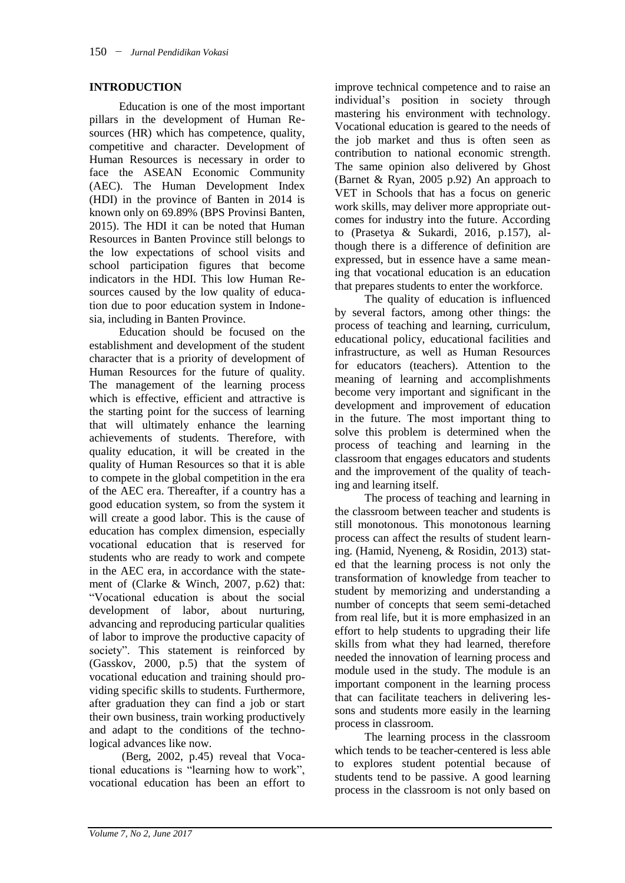## **INTRODUCTION**

Education is one of the most important pillars in the development of Human Resources (HR) which has competence, quality, competitive and character. Development of Human Resources is necessary in order to face the ASEAN Economic Community (AEC). The Human Development Index (HDI) in the province of Banten in 2014 is known only on 69.89% (BPS Provinsi Banten, 2015). The HDI it can be noted that Human Resources in Banten Province still belongs to the low expectations of school visits and school participation figures that become indicators in the HDI. This low Human Resources caused by the low quality of education due to poor education system in Indonesia, including in Banten Province.

Education should be focused on the establishment and development of the student character that is a priority of development of Human Resources for the future of quality. The management of the learning process which is effective, efficient and attractive is the starting point for the success of learning that will ultimately enhance the learning achievements of students. Therefore, with quality education, it will be created in the quality of Human Resources so that it is able to compete in the global competition in the era of the AEC era. Thereafter, if a country has a good education system, so from the system it will create a good labor. This is the cause of education has complex dimension, especially vocational education that is reserved for students who are ready to work and compete in the AEC era, in accordance with the statement of (Clarke & Winch, 2007, p.62) that: "Vocational education is about the social development of labor, about nurturing, advancing and reproducing particular qualities of labor to improve the productive capacity of society". This statement is reinforced by (Gasskov, 2000, p.5) that the system of vocational education and training should providing specific skills to students. Furthermore, after graduation they can find a job or start their own business, train working productively and adapt to the conditions of the technological advances like now.

(Berg, 2002, p.45) reveal that Vocational educations is "learning how to work", vocational education has been an effort to improve technical competence and to raise an individual's position in society through mastering his environment with technology. Vocational education is geared to the needs of the job market and thus is often seen as contribution to national economic strength. The same opinion also delivered by Ghost (Barnet & Ryan, 2005 p.92) An approach to VET in Schools that has a focus on generic work skills, may deliver more appropriate outcomes for industry into the future. According to (Prasetya & Sukardi, 2016, p.157), although there is a difference of definition are expressed, but in essence have a same meaning that vocational education is an education that prepares students to enter the workforce.

The quality of education is influenced by several factors, among other things: the process of teaching and learning, curriculum, educational policy, educational facilities and infrastructure, as well as Human Resources for educators (teachers). Attention to the meaning of learning and accomplishments become very important and significant in the development and improvement of education in the future. The most important thing to solve this problem is determined when the process of teaching and learning in the classroom that engages educators and students and the improvement of the quality of teaching and learning itself.

The process of teaching and learning in the classroom between teacher and students is still monotonous. This monotonous learning process can affect the results of student learning. (Hamid, Nyeneng, & Rosidin, 2013) stated that the learning process is not only the transformation of knowledge from teacher to student by memorizing and understanding a number of concepts that seem semi-detached from real life, but it is more emphasized in an effort to help students to upgrading their life skills from what they had learned, therefore needed the innovation of learning process and module used in the study. The module is an important component in the learning process that can facilitate teachers in delivering lessons and students more easily in the learning process in classroom.

The learning process in the classroom which tends to be teacher-centered is less able to explores student potential because of students tend to be passive. A good learning process in the classroom is not only based on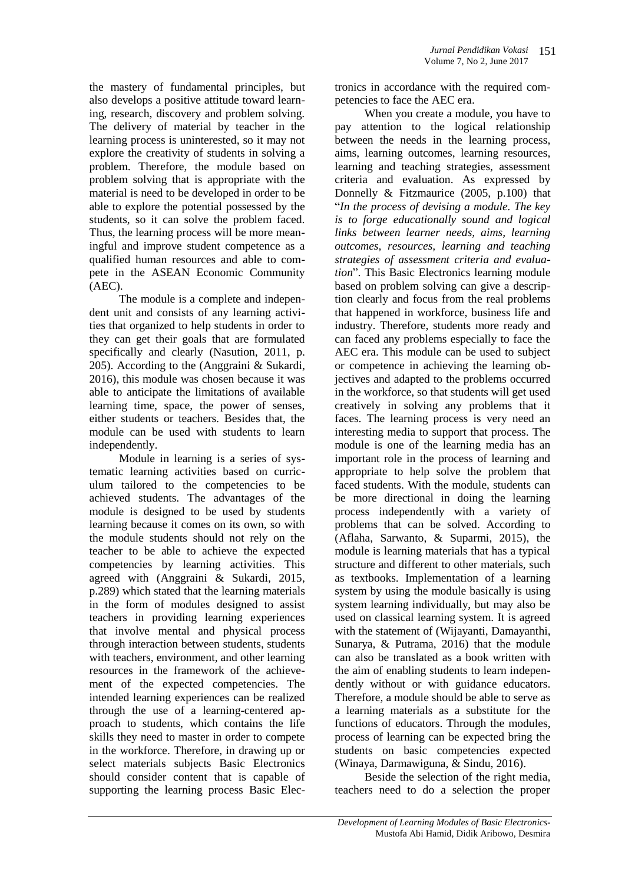the mastery of fundamental principles, but also develops a positive attitude toward learning, research, discovery and problem solving. The delivery of material by teacher in the learning process is uninterested, so it may not explore the creativity of students in solving a problem. Therefore, the module based on problem solving that is appropriate with the material is need to be developed in order to be able to explore the potential possessed by the students, so it can solve the problem faced. Thus, the learning process will be more meaningful and improve student competence as a qualified human resources and able to compete in the ASEAN Economic Community (AEC).

The module is a complete and independent unit and consists of any learning activities that organized to help students in order to they can get their goals that are formulated specifically and clearly (Nasution, 2011, p. 205). According to the (Anggraini & Sukardi, 2016), this module was chosen because it was able to anticipate the limitations of available learning time, space, the power of senses, either students or teachers. Besides that, the module can be used with students to learn independently.

Module in learning is a series of systematic learning activities based on curriculum tailored to the competencies to be achieved students. The advantages of the module is designed to be used by students learning because it comes on its own, so with the module students should not rely on the teacher to be able to achieve the expected competencies by learning activities. This agreed with (Anggraini & Sukardi, 2015, p.289) which stated that the learning materials in the form of modules designed to assist teachers in providing learning experiences that involve mental and physical process through interaction between students, students with teachers, environment, and other learning resources in the framework of the achievement of the expected competencies. The intended learning experiences can be realized through the use of a learning-centered approach to students, which contains the life skills they need to master in order to compete in the workforce. Therefore, in drawing up or select materials subjects Basic Electronics should consider content that is capable of supporting the learning process Basic Electronics in accordance with the required competencies to face the AEC era.

When you create a module, you have to pay attention to the logical relationship between the needs in the learning process, aims, learning outcomes, learning resources, learning and teaching strategies, assessment criteria and evaluation. As expressed by Donnelly & Fitzmaurice (2005, p.100) that "*In the process of devising a module. The key is to forge educationally sound and logical links between learner needs, aims, learning outcomes, resources, learning and teaching strategies of assessment criteria and evaluation*". This Basic Electronics learning module based on problem solving can give a description clearly and focus from the real problems that happened in workforce, business life and industry. Therefore, students more ready and can faced any problems especially to face the AEC era. This module can be used to subject or competence in achieving the learning objectives and adapted to the problems occurred in the workforce, so that students will get used creatively in solving any problems that it faces. The learning process is very need an interesting media to support that process. The module is one of the learning media has an important role in the process of learning and appropriate to help solve the problem that faced students. With the module, students can be more directional in doing the learning process independently with a variety of problems that can be solved. According to (Aflaha, Sarwanto, & Suparmi, 2015), the module is learning materials that has a typical structure and different to other materials, such as textbooks. Implementation of a learning system by using the module basically is using system learning individually, but may also be used on classical learning system. It is agreed with the statement of (Wijayanti, Damayanthi, Sunarya, & Putrama, 2016) that the module can also be translated as a book written with the aim of enabling students to learn independently without or with guidance educators. Therefore, a module should be able to serve as a learning materials as a substitute for the functions of educators. Through the modules, process of learning can be expected bring the students on basic competencies expected (Winaya, Darmawiguna, & Sindu, 2016).

Beside the selection of the right media, teachers need to do a selection the proper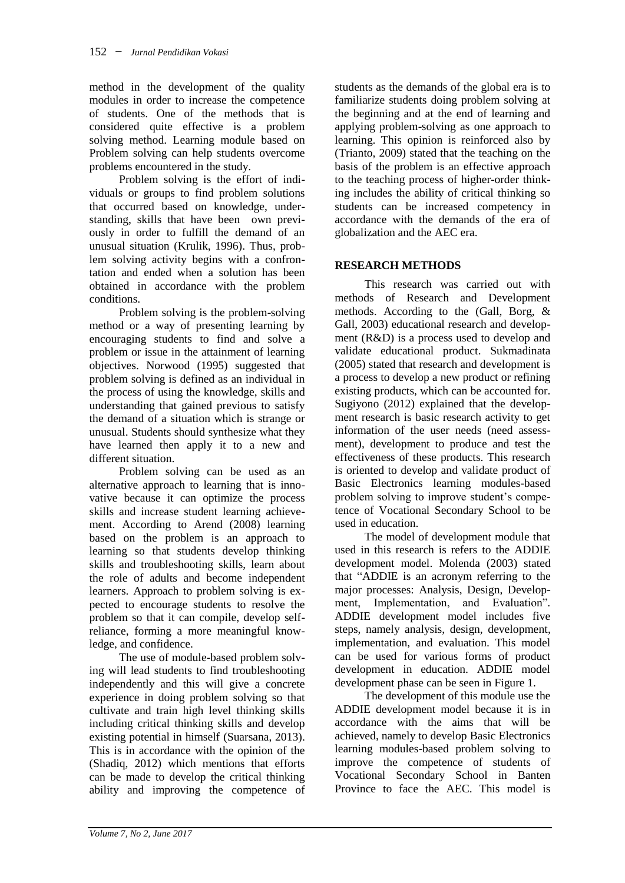method in the development of the quality modules in order to increase the competence of students. One of the methods that is considered quite effective is a problem solving method. Learning module based on Problem solving can help students overcome problems encountered in the study.

Problem solving is the effort of individuals or groups to find problem solutions that occurred based on knowledge, understanding, skills that have been own previously in order to fulfill the demand of an unusual situation (Krulik, 1996). Thus, problem solving activity begins with a confrontation and ended when a solution has been obtained in accordance with the problem conditions.

Problem solving is the problem-solving method or a way of presenting learning by encouraging students to find and solve a problem or issue in the attainment of learning objectives. Norwood (1995) suggested that problem solving is defined as an individual in the process of using the knowledge, skills and understanding that gained previous to satisfy the demand of a situation which is strange or unusual. Students should synthesize what they have learned then apply it to a new and different situation.

Problem solving can be used as an alternative approach to learning that is innovative because it can optimize the process skills and increase student learning achievement. According to Arend (2008) learning based on the problem is an approach to learning so that students develop thinking skills and troubleshooting skills, learn about the role of adults and become independent learners. Approach to problem solving is expected to encourage students to resolve the problem so that it can compile, develop selfreliance, forming a more meaningful knowledge, and confidence.

The use of module-based problem solving will lead students to find troubleshooting independently and this will give a concrete experience in doing problem solving so that cultivate and train high level thinking skills including critical thinking skills and develop existing potential in himself (Suarsana, 2013). This is in accordance with the opinion of the (Shadiq, 2012) which mentions that efforts can be made to develop the critical thinking ability and improving the competence of

students as the demands of the global era is to familiarize students doing problem solving at the beginning and at the end of learning and applying problem-solving as one approach to learning. This opinion is reinforced also by (Trianto, 2009) stated that the teaching on the basis of the problem is an effective approach to the teaching process of higher-order thinking includes the ability of critical thinking so students can be increased competency in accordance with the demands of the era of globalization and the AEC era.

#### **RESEARCH METHODS**

This research was carried out with methods of Research and Development methods. According to the (Gall, Borg, & Gall, 2003) educational research and development (R&D) is a process used to develop and validate educational product. Sukmadinata (2005) stated that research and development is a process to develop a new product or refining existing products, which can be accounted for. Sugiyono (2012) explained that the development research is basic research activity to get information of the user needs (need assessment), development to produce and test the effectiveness of these products. This research is oriented to develop and validate product of Basic Electronics learning modules-based problem solving to improve student's competence of Vocational Secondary School to be used in education.

The model of development module that used in this research is refers to the ADDIE development model. Molenda (2003) stated that "ADDIE is an acronym referring to the major processes: Analysis, Design, Development, Implementation, and Evaluation"*.*  ADDIE development model includes five steps, namely analysis, design, development, implementation, and evaluation. This model can be used for various forms of product development in education. ADDIE model development phase can be seen in Figure 1.

The development of this module use the ADDIE development model because it is in accordance with the aims that will be achieved, namely to develop Basic Electronics learning modules-based problem solving to improve the competence of students of Vocational Secondary School in Banten Province to face the AEC. This model is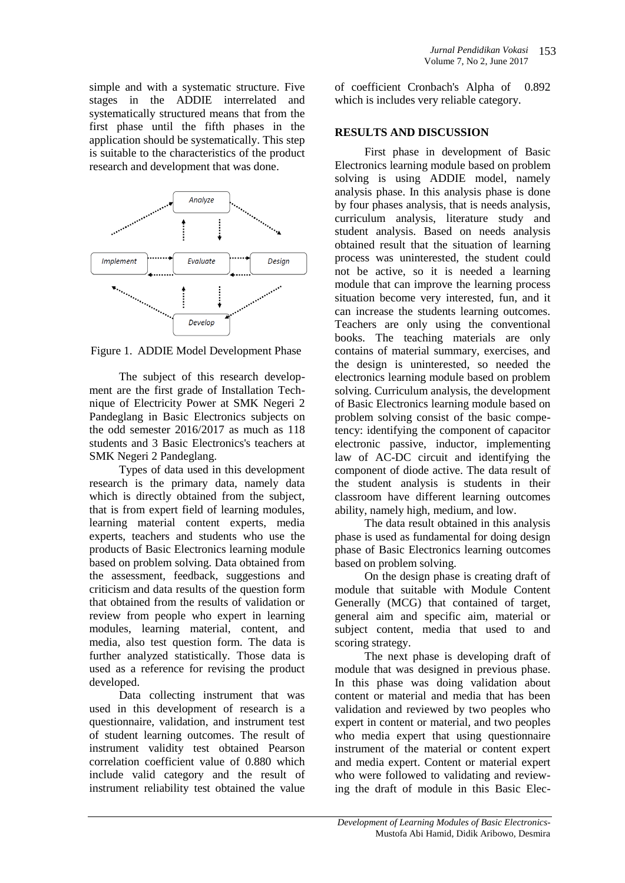simple and with a systematic structure. Five stages in the ADDIE interrelated and systematically structured means that from the first phase until the fifth phases in the application should be systematically. This step is suitable to the characteristics of the product research and development that was done.



Figure 1. ADDIE Model Development Phase

The subject of this research development are the first grade of Installation Technique of Electricity Power at SMK Negeri 2 Pandeglang in Basic Electronics subjects on the odd semester 2016/2017 as much as 118 students and 3 Basic Electronics's teachers at SMK Negeri 2 Pandeglang.

Types of data used in this development research is the primary data, namely data which is directly obtained from the subject, that is from expert field of learning modules, learning material content experts, media experts, teachers and students who use the products of Basic Electronics learning module based on problem solving. Data obtained from the assessment, feedback, suggestions and criticism and data results of the question form that obtained from the results of validation or review from people who expert in learning modules, learning material, content, and media, also test question form. The data is further analyzed statistically. Those data is used as a reference for revising the product developed.

Data collecting instrument that was used in this development of research is a questionnaire, validation, and instrument test of student learning outcomes. The result of instrument validity test obtained Pearson correlation coefficient value of 0.880 which include valid category and the result of instrument reliability test obtained the value

of coefficient Cronbach's Alpha of 0.892 which is includes very reliable category.

## **RESULTS AND DISCUSSION**

First phase in development of Basic Electronics learning module based on problem solving is using ADDIE model, namely analysis phase. In this analysis phase is done by four phases analysis, that is needs analysis, curriculum analysis, literature study and student analysis. Based on needs analysis obtained result that the situation of learning process was uninterested, the student could not be active, so it is needed a learning module that can improve the learning process situation become very interested, fun, and it can increase the students learning outcomes. Teachers are only using the conventional books. The teaching materials are only contains of material summary, exercises, and the design is uninterested, so needed the electronics learning module based on problem solving. Curriculum analysis, the development of Basic Electronics learning module based on problem solving consist of the basic competency: identifying the component of capacitor electronic passive, inductor, implementing law of AC-DC circuit and identifying the component of diode active. The data result of the student analysis is students in their classroom have different learning outcomes ability, namely high, medium, and low.

The data result obtained in this analysis phase is used as fundamental for doing design phase of Basic Electronics learning outcomes based on problem solving.

On the design phase is creating draft of module that suitable with Module Content Generally (MCG) that contained of target, general aim and specific aim, material or subject content, media that used to and scoring strategy.

The next phase is developing draft of module that was designed in previous phase. In this phase was doing validation about content or material and media that has been validation and reviewed by two peoples who expert in content or material, and two peoples who media expert that using questionnaire instrument of the material or content expert and media expert. Content or material expert who were followed to validating and reviewing the draft of module in this Basic Elec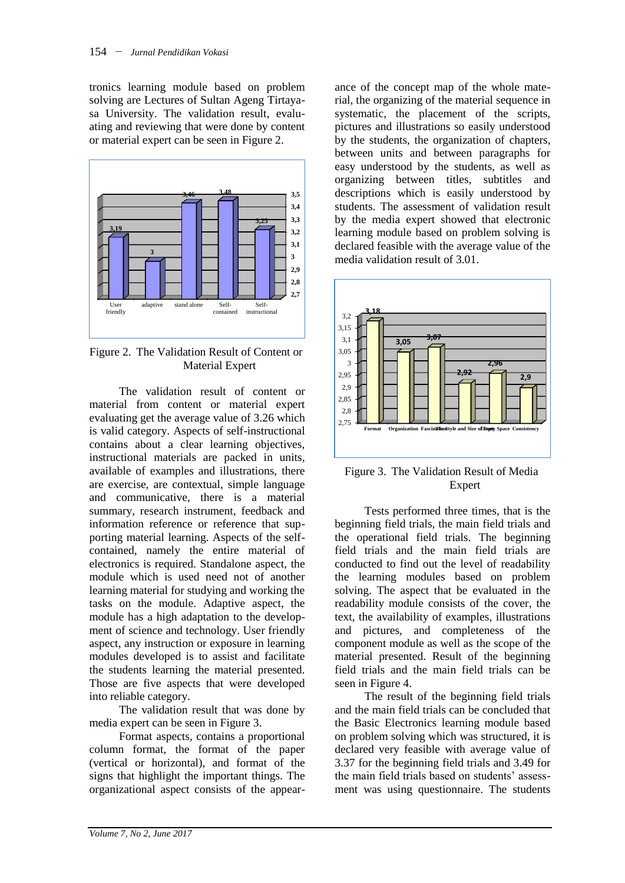tronics learning module based on problem solving are Lectures of Sultan Ageng Tirtayasa University. The validation result, evaluating and reviewing that were done by content or material expert can be seen in Figure 2.



Figure 2. The Validation Result of Content or Material Expert

The validation result of content or material from content or material expert evaluating get the average value of 3.26 which is valid category. Aspects of self-instructional contains about a clear learning objectives, instructional materials are packed in units, available of examples and illustrations, there are exercise, are contextual, simple language and communicative, there is a material summary, research instrument, feedback and information reference or reference that supporting material learning. Aspects of the selfcontained, namely the entire material of electronics is required. Standalone aspect, the module which is used need not of another learning material for studying and working the tasks on the module. Adaptive aspect, the module has a high adaptation to the development of science and technology. User friendly aspect, any instruction or exposure in learning modules developed is to assist and facilitate the students learning the material presented. Those are five aspects that were developed into reliable category.

The validation result that was done by media expert can be seen in Figure 3.

Format aspects, contains a proportional column format, the format of the paper (vertical or horizontal), and format of the signs that highlight the important things. The organizational aspect consists of the appearance of the concept map of the whole material, the organizing of the material sequence in systematic, the placement of the scripts, pictures and illustrations so easily understood by the students, the organization of chapters, between units and between paragraphs for easy understood by the students, as well as organizing between titles, subtitles and descriptions which is easily understood by students. The assessment of validation result by the media expert showed that electronic learning module based on problem solving is declared feasible with the average value of the media validation result of 3.01.



Figure 3. The Validation Result of Media Expert

Tests performed three times, that is the beginning field trials, the main field trials and the operational field trials. The beginning field trials and the main field trials are conducted to find out the level of readability the learning modules based on problem solving. The aspect that be evaluated in the readability module consists of the cover, the text, the availability of examples, illustrations and pictures, and completeness of the component module as well as the scope of the material presented. Result of the beginning field trials and the main field trials can be seen in Figure 4.

The result of the beginning field trials and the main field trials can be concluded that the Basic Electronics learning module based on problem solving which was structured, it is declared very feasible with average value of 3.37 for the beginning field trials and 3.49 for the main field trials based on students' assessment was using questionnaire. The students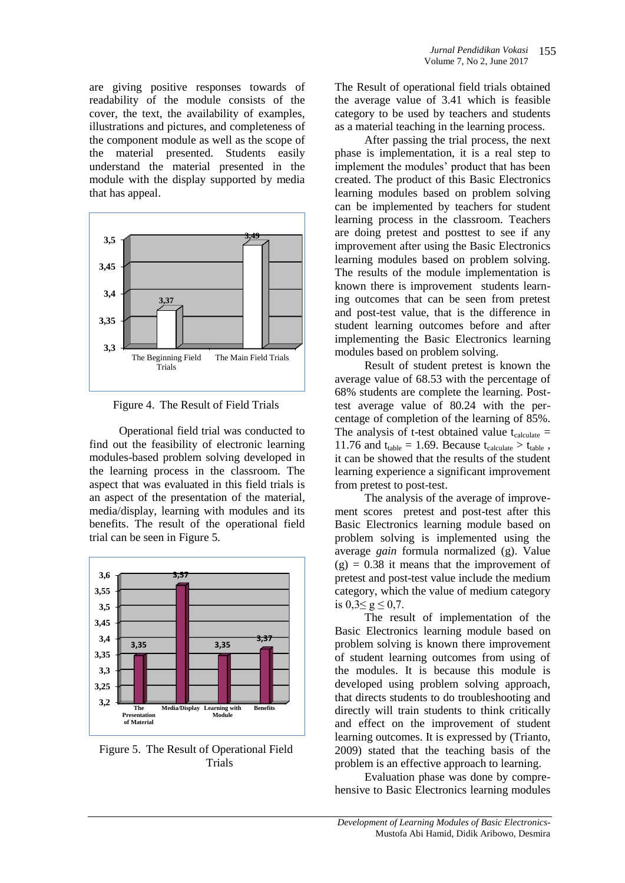are giving positive responses towards of readability of the module consists of the cover, the text, the availability of examples, illustrations and pictures, and completeness of the component module as well as the scope of the material presented. Students easily understand the material presented in the module with the display supported by media that has appeal.



Figure 4. The Result of Field Trials

Operational field trial was conducted to find out the feasibility of electronic learning modules-based problem solving developed in the learning process in the classroom. The aspect that was evaluated in this field trials is an aspect of the presentation of the material, media/display, learning with modules and its benefits. The result of the operational field trial can be seen in Figure 5.



Figure 5. The Result of Operational Field Trials

The Result of operational field trials obtained the average value of 3.41 which is feasible category to be used by teachers and students as a material teaching in the learning process.

After passing the trial process, the next phase is implementation, it is a real step to implement the modules' product that has been created. The product of this Basic Electronics learning modules based on problem solving can be implemented by teachers for student learning process in the classroom. Teachers are doing pretest and posttest to see if any improvement after using the Basic Electronics learning modules based on problem solving. The results of the module implementation is known there is improvement students learning outcomes that can be seen from pretest and post-test value, that is the difference in student learning outcomes before and after implementing the Basic Electronics learning modules based on problem solving.

Result of student pretest is known the average value of 68.53 with the percentage of 68% students are complete the learning. Posttest average value of 80.24 with the percentage of completion of the learning of 85%. The analysis of t-test obtained value  $t_{\text{calculate}} =$ 11.76 and  $t_{table} = 1.69$ . Because  $t_{calculate} > t_{table}$ , it can be showed that the results of the student learning experience a significant improvement from pretest to post-test.

The analysis of the average of improvement scores pretest and post-test after this Basic Electronics learning module based on problem solving is implemented using the average *gain* formula normalized (g). Value  $(g) = 0.38$  it means that the improvement of pretest and post-test value include the medium category, which the value of medium category is  $0.3 \le g \le 0.7$ .

The result of implementation of the Basic Electronics learning module based on problem solving is known there improvement of student learning outcomes from using of the modules. It is because this module is developed using problem solving approach, that directs students to do troubleshooting and directly will train students to think critically and effect on the improvement of student learning outcomes. It is expressed by (Trianto, 2009) stated that the teaching basis of the problem is an effective approach to learning.

Evaluation phase was done by comprehensive to Basic Electronics learning modules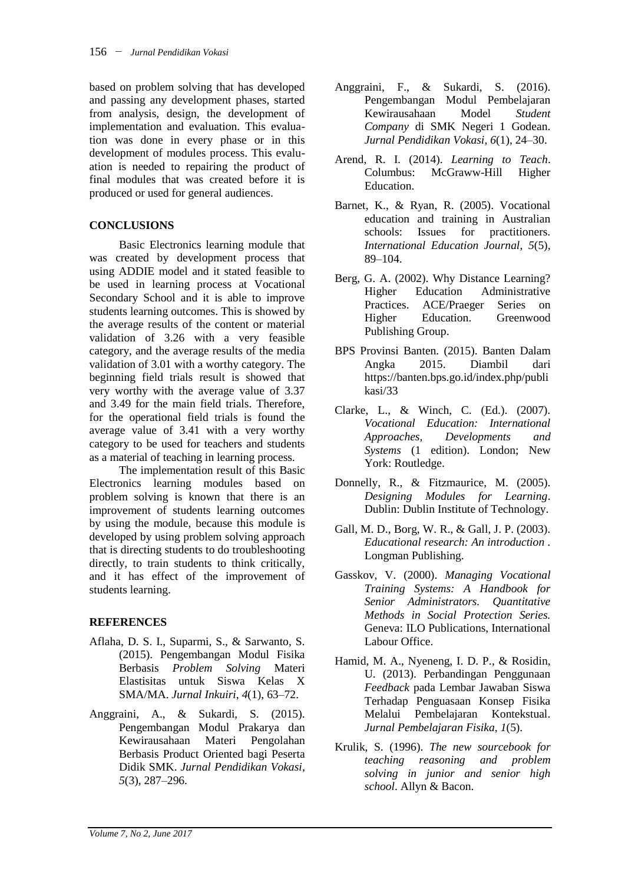based on problem solving that has developed and passing any development phases, started from analysis, design, the development of implementation and evaluation. This evaluation was done in every phase or in this development of modules process. This evaluation is needed to repairing the product of final modules that was created before it is produced or used for general audiences.

## **CONCLUSIONS**

Basic Electronics learning module that was created by development process that using ADDIE model and it stated feasible to be used in learning process at Vocational Secondary School and it is able to improve students learning outcomes. This is showed by the average results of the content or material validation of 3.26 with a very feasible category, and the average results of the media validation of 3.01 with a worthy category. The beginning field trials result is showed that very worthy with the average value of 3.37 and 3.49 for the main field trials. Therefore, for the operational field trials is found the average value of 3.41 with a very worthy category to be used for teachers and students as a material of teaching in learning process.

The implementation result of this Basic Electronics learning modules based on problem solving is known that there is an improvement of students learning outcomes by using the module, because this module is developed by using problem solving approach that is directing students to do troubleshooting directly, to train students to think critically, and it has effect of the improvement of students learning.

## **REFERENCES**

- Aflaha, D. S. I., Suparmi, S., & Sarwanto, S. (2015). Pengembangan Modul Fisika Berbasis *Problem Solving* Materi Elastisitas untuk Siswa Kelas X SMA/MA. *Jurnal Inkuiri*, *4*(1), 63–72.
- Anggraini, A., & Sukardi, S. (2015). Pengembangan Modul Prakarya dan Kewirausahaan Materi Pengolahan Berbasis Product Oriented bagi Peserta Didik SMK. *Jurnal Pendidikan Vokasi*, *5*(3), 287–296.
- Anggraini, F., & Sukardi, S. (2016). Pengembangan Modul Pembelajaran Kewirausahaan Model *Student Company* di SMK Negeri 1 Godean. *Jurnal Pendidikan Vokasi*, *6*(1), 24–30.
- Arend, R. I. (2014). *Learning to Teach*. Columbus: McGraww-Hill Higher Education.
- Barnet, K., & Ryan, R. (2005). Vocational education and training in Australian schools: Issues for practitioners. *International Education Journal*, *5*(5), 89–104.
- Berg, G. A. (2002). Why Distance Learning? Higher Education Administrative Practices. ACE/Praeger Series on Higher Education. Greenwood Publishing Group.
- BPS Provinsi Banten. (2015). Banten Dalam Angka 2015. Diambil dari https://banten.bps.go.id/index.php/publi kasi/33
- Clarke, L., & Winch, C. (Ed.). (2007). *Vocational Education: International Approaches, Developments and Systems* (1 edition). London; New York: Routledge.
- Donnelly, R., & Fitzmaurice, M. (2005). *Designing Modules for Learning*. Dublin: Dublin Institute of Technology.
- Gall, M. D., Borg, W. R., & Gall, J. P. (2003). *Educational research: An introduction .* Longman Publishing.
- Gasskov, V. (2000). *Managing Vocational Training Systems: A Handbook for Senior Administrators. Quantitative Methods in Social Protection Series.* Geneva: ILO Publications, International Labour Office.
- Hamid, M. A., Nyeneng, I. D. P., & Rosidin, U. (2013). Perbandingan Penggunaan *Feedback* pada Lembar Jawaban Siswa Terhadap Penguasaan Konsep Fisika Melalui Pembelajaran Kontekstual. *Jurnal Pembelajaran Fisika*, *1*(5).
- Krulik, S. (1996). *The new sourcebook for teaching reasoning and problem solving in junior and senior high school*. Allyn & Bacon.